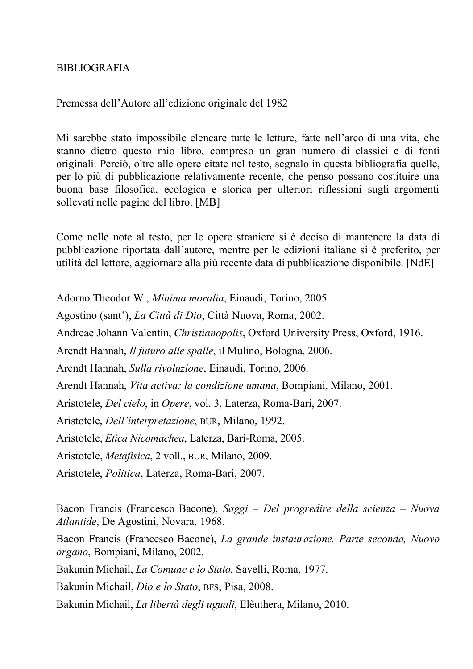## **BIBLIOGRAFIA**

## Premessa dell'Autore all'edizione originale del 1982

Mi sarebbe stato impossibile elencare tutte le letture, fatte nell'arco di una vita, che stanno dietro questo mio libro, compreso un gran numero di classici e di fonti originali. Perciò, oltre alle opere citate nel testo, segnalo in questa bibliografia quelle, per lo più di pubblicazione relativamente recente, che penso possano costituire una buona base filosofica, ecologica e storica per ulteriori riflessioni sugli argomenti sollevati nelle pagine del libro. [MB]

Come nelle note al testo, per le opere straniere si è deciso di mantenere la data di pubblicazione riportata dall'autore, mentre per le edizioni italiane si è preferito, per utilità del lettore, aggiornare alla più recente data di pubblicazione disponibile. [NdE]

Adorno Theodor W., *Minima moralia*, Einaudi, Torino, 2005.

Agostino (sant'), *La Città di Dio*, Città Nuova, Roma, 2002.

Andreae Johann Valentin, *Christianopolis*, Oxford University Press, Oxford, 1916.

Arendt Hannah, *Il futuro alle spalle*, il Mulino, Bologna, 2006.

Arendt Hannah, *Sulla rivoluzione*, Einaudi, Torino, 2006.

Arendt Hannah, *Vita activa: la condizione umana*, Bompiani, Milano, 2001.

Aristotele, *Del cielo*, in *Opere*, vol. 3, Laterza, Roma-Bari, 2007.

Aristotele, *Dell'interpretazione*, BUR, Milano, 1992.

Aristotele, *Etica Nicomachea*, Laterza, Bari-Roma, 2005.

Aristotele, *Metafisica*, 2 voll., BUR, Milano, 2009.

Aristotele, *Politica*, Laterza, Roma-Bari, 2007.

Bacon Francis (Francesco Bacone), *Saggi – Del progredire della scienza – Nuova Atlantide*, De Agostini, Novara, 1968.

Bacon Francis (Francesco Bacone), *La grande instaurazione. Parte seconda, Nuovo organo*, Bompiani, Milano, 2002.

Bakunin Michail, *La Comune e lo Stato*, Savelli, Roma, 1977.

Bakunin Michail, *Dio e lo Stato*, BFS, Pisa, 2008.

Bakunin Michail, *La libertà degli uguali*, Elèuthera, Milano, 2010.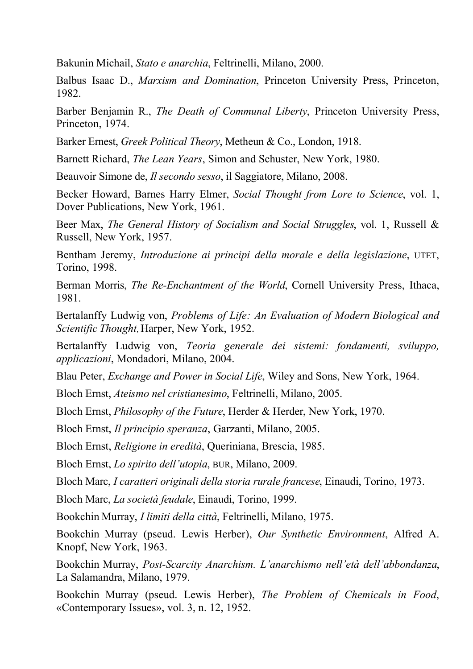Bakunin Michail, *Stato e anarchia*, Feltrinelli, Milano, 2000.

Balbus Isaac D., *Marxism and Domination*, Princeton University Press, Princeton, 1982.

Barber Benjamin R., *The Death of Communal Liberty*, Princeton University Press, Princeton, 1974.

Barker Ernest, *Greek Political Theory*, Metheun & Co., London, 1918.

Barnett Richard, *The Lean Years*, Simon and Schuster, New York, 1980.

Beauvoir Simone de, *Il secondo sesso*, il Saggiatore, Milano, 2008.

Becker Howard, Barnes Harry Elmer, *Social Thought from Lore to Science*, vol. 1, Dover Publications, New York, 1961.

Beer Max, *The General History of Socialism and Social Struggles*, vol. 1, Russell & Russell, New York, 1957.

Bentham Jeremy, *Introduzione ai principi della morale e della legislazione*, UTET, Torino, 1998.

Berman Morris, *The Re-Enchantment of the World*, Cornell University Press, Ithaca, 1981.

Bertalanffy Ludwig von, *Problems of Life: An Evaluation of Modern Biological and Scientific Thought*, Harper, New York, 1952.

Bertalanffy Ludwig von, *Teoria generale dei sistemi: fondamenti, sviluppo, applicazioni*, Mondadori, Milano, 2004.

Blau Peter, *Exchange and Power in Social Life*, Wiley and Sons, New York, 1964.

Bloch Ernst, *Ateismo nel cristianesimo*, Feltrinelli, Milano, 2005.

Bloch Ernst, *Philosophy of the Future*, Herder & Herder, New York, 1970.

Bloch Ernst, *Il principio speranza*, Garzanti, Milano, 2005.

Bloch Ernst, *Religione in eredità*, Queriniana, Brescia, 1985.

Bloch Ernst, *Lo spirito dell'utopia*, BUR, Milano, 2009.

Bloch Marc, *I caratteri originali della storia rurale francese*, Einaudi, Torino, 1973.

Bloch Marc, *La società feudale*, Einaudi, Torino, 1999.

Bookchin Murray, *I limiti della città*, Feltrinelli, Milano, 1975.

Bookchin Murray (pseud. Lewis Herber), *Our Synthetic Environment*, Alfred A. Knopf, New York, 1963.

Bookchin Murray, *Post-Scarcity Anarchism. L'anarchismo nell'età dell'abbondanza*, La Salamandra, Milano, 1979.

Bookchin Murray (pseud. Lewis Herber), *The Problem of Chemicals in Food*, «Contemporary Issues», vol. 3, n. 12, 1952.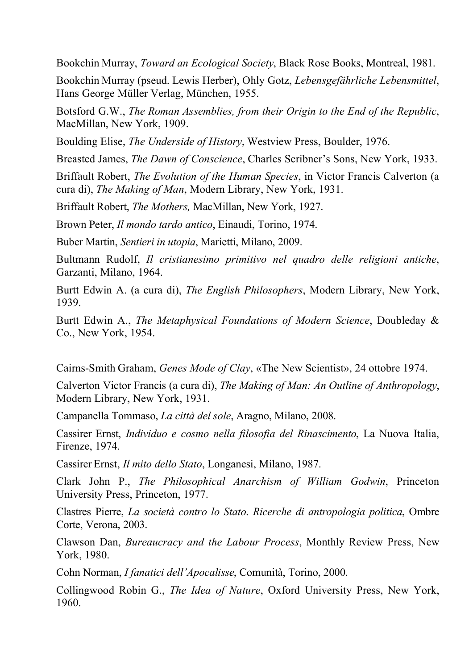Bookchin Murray, *Toward an Ecological Society*, Black Rose Books, Montreal, 1981.

Bookchin Murray (pseud. Lewis Herber), Ohly Gotz, *Lebensgefährliche Lebensmittel*, Hans George Müller Verlag, München, 1955.

Botsford G.W., *The Roman Assemblies, from their Origin to the End of the Republic*, MacMillan, New York, 1909.

Boulding Elise, *The Underside of History*, Westview Press, Boulder, 1976.

Breasted James, *The Dawn of Conscience*, Charles Scribner's Sons, New York, 1933.

Briffault Robert, *The Evolution of the Human Species*, in Victor Francis Calverton (a cura di), *The Making of Man*, Modern Library, New York, 1931.

Briffault Robert, *The Mothers,* MacMillan, New York, 1927.

Brown Peter, *Il mondo tardo antico*, Einaudi, Torino, 1974.

Buber Martin, *Sentieri in utopia*, Marietti, Milano, 2009.

Bultmann Rudolf, *Il cristianesimo primitivo nel quadro delle religioni antiche*, Garzanti, Milano, 1964.

Burtt Edwin A. (a cura di), *The English Philosophers*, Modern Library, New York, 1939.

Burtt Edwin A., *The Metaphysical Foundations of Modern Science*, Doubleday & Co., New York, 1954.

Cairns-Smith Graham, *Genes Mode of Clay*, «The New Scientist», 24 ottobre 1974.

Calverton Victor Francis (a cura di), *The Making of Man: An Outline of Anthropology*, Modern Library, New York, 1931.

Campanella Tommaso, *La città del sole*, Aragno, Milano, 2008.

Cassirer Ernst, *Individuo e cosmo nella filosofia del Rinascimento*, La Nuova Italia, Firenze, 1974.

Cassirer Ernst, *Il mito dello Stato*, Longanesi, Milano, 1987.

Clark John P., *The Philosophical Anarchism of William Godwin*, Princeton University Press, Princeton, 1977.

Clastres Pierre, *La società contro lo Stato*. *Ricerche di antropologia politica*, Ombre Corte, Verona, 2003.

Clawson Dan, *Bureaucracy and the Labour Process*, Monthly Review Press, New York, 1980.

Cohn Norman, *I fanatici dell'Apocalisse*, Comunità, Torino, 2000.

Collingwood Robin G., *The Idea of Nature*, Oxford University Press, New York, 1960.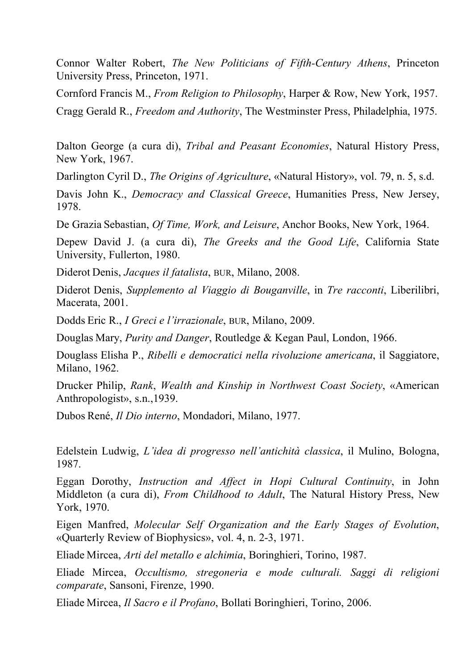Connor Walter Robert, *The New Politicians of Fifth-Century Athens*, Princeton University Press, Princeton, 1971.

Cornford Francis M., *From Religion to Philosophy*, Harper & Row, New York, 1957. Cragg Gerald R., *Freedom and Authority*, The Westminster Press, Philadelphia, 1975.

Dalton George (a cura di), *Tribal and Peasant Economies*, Natural History Press, New York, 1967.

Darlington Cyril D., *The Origins of Agriculture*, «Natural History», vol. 79, n. 5, s.d.

Davis John K., *Democracy and Classical Greece*, Humanities Press, New Jersey, 1978.

De Grazia Sebastian, *Of Time, Work, and Leisure*, Anchor Books, New York, 1964.

Depew David J. (a cura di), *The Greeks and the Good Life*, California State University, Fullerton, 1980.

Diderot Denis, *Jacques il fatalista*, BUR, Milano, 2008.

Diderot Denis, *Supplemento al Viaggio di Bouganville*, in *Tre racconti*, Liberilibri, Macerata, 2001.

Dodds Eric R., *I Greci e l'irrazionale*, BUR, Milano, 2009.

Douglas Mary, *Purity and Danger*, Routledge & Kegan Paul, London, 1966.

Douglass Elisha P., *Ribelli e democratici nella rivoluzione americana*, il Saggiatore, Milano, 1962.

Drucker Philip, *Rank*, *Wealth and Kinship in Northwest Coast Society*, «American Anthropologist», s.n.,1939.

Dubos René, *Il Dio interno*, Mondadori, Milano, 1977.

Edelstein Ludwig, *L'idea di progresso nell'antichità classica*, il Mulino, Bologna, 1987.

Eggan Dorothy, *Instruction and Affect in Hopi Cultural Continuity*, in John Middleton (a cura di), *From Childhood to Adult*, The Natural History Press, New York, 1970.

Eigen Manfred, *Molecular Self Organization and the Early Stages of Evolution*, «Quarterly Review of Biophysics», vol. 4, n. 2-3, 1971.

Eliade Mircea, *Arti del metallo e alchimia*, Boringhieri, Torino, 1987.

Eliade Mircea, *Occultismo, stregoneria e mode culturali. Saggi di religioni comparate*, Sansoni, Firenze, 1990.

Eliade Mircea, *Il Sacro e il Profano*, Bollati Boringhieri, Torino, 2006.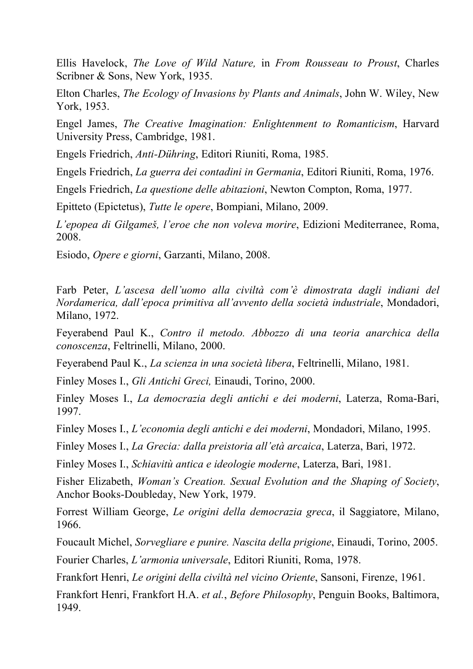Ellis Havelock, *The Love of Wild Nature,* in *From Rousseau to Proust*, Charles Scribner & Sons, New York, 1935.

Elton Charles, *The Ecology of Invasions by Plants and Animals*, John W. Wiley, New York, 1953.

Engel James, *The Creative Imagination: Enlightenment to Romanticism*, Harvard University Press, Cambridge, 1981.

Engels Friedrich, *Anti-Dühring*, Editori Riuniti, Roma, 1985.

Engels Friedrich, *La guerra dei contadini in Germania*, Editori Riuniti, Roma, 1976.

Engels Friedrich, *La questione delle abitazioni*, Newton Compton, Roma, 1977.

Epitteto (Epictetus), *Tutte le opere*, Bompiani, Milano, 2009.

*L'epopea di Gilgameš, l'eroe che non voleva morire*, Edizioni Mediterranee, Roma, 2008.

Esiodo, *Opere e giorni*, Garzanti, Milano, 2008.

Farb Peter, *L'ascesa dell'uomo alla civiltà com'è dimostrata dagli indiani del Nordamerica, dall'epoca primitiva all'avvento della società industriale*, Mondadori, Milano, 1972.

Feyerabend Paul K., *Contro il metodo. Abbozzo di una teoria anarchica della conoscenza*, Feltrinelli, Milano, 2000.

Feyerabend Paul K., *La scienza in una società libera*, Feltrinelli, Milano, 1981.

Finley Moses I., *Gli Antichi Greci,* Einaudi, Torino, 2000.

Finley Moses I., *La democrazia degli antichi e dei moderni*, Laterza, Roma-Bari, 1997.

Finley Moses I., *L'economia degli antichi e dei moderni*, Mondadori, Milano, 1995.

Finley Moses I., *La Grecia: dalla preistoria all'età arcaica*, Laterza, Bari, 1972.

Finley Moses I., *Schiavitù antica e ideologie moderne*, Laterza, Bari, 1981.

Fisher Elizabeth, *Woman's Creation. Sexual Evolution and the Shaping of Society*, Anchor Books-Doubleday, New York, 1979.

Forrest William George, *Le origini della democrazia greca*, il Saggiatore, Milano, 1966.

Foucault Michel, *Sorvegliare e punire. Nascita della prigione*, Einaudi, Torino, 2005.

Fourier Charles, *L'armonia universale*, Editori Riuniti, Roma, 1978.

Frankfort Henri, *Le origini della civiltà nel vicino Oriente*, Sansoni, Firenze, 1961.

Frankfort Henri, Frankfort H.A. *et al.*, *Before Philosophy*, Penguin Books, Baltimora, 1949.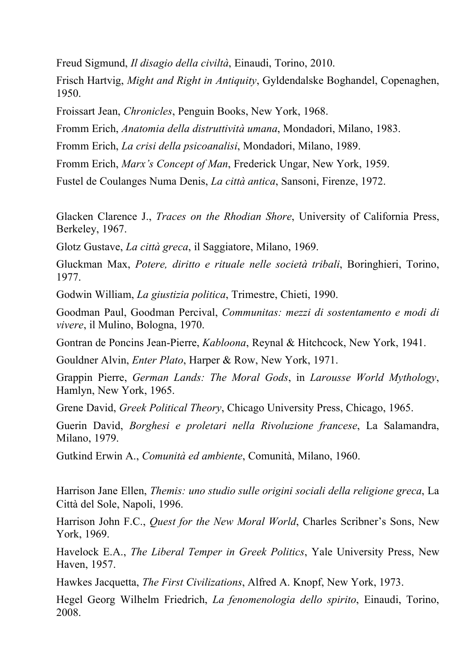Freud Sigmund, *Il disagio della civiltà*, Einaudi, Torino, 2010.

Frisch Hartvig, *Might and Right in Antiquity*, Gyldendalske Boghandel, Copenaghen, 1950.

Froissart Jean, *Chronicles*, Penguin Books, New York, 1968.

Fromm Erich, *Anatomia della distruttività umana*, Mondadori, Milano, 1983.

Fromm Erich, *La crisi della psicoanalisi*, Mondadori, Milano, 1989.

Fromm Erich, *Marx's Concept of Man*, Frederick Ungar, New York, 1959.

Fustel de Coulanges Numa Denis, *La città antica*, Sansoni, Firenze, 1972.

Glacken Clarence J., *Traces on the Rhodian Shore*, University of California Press, Berkeley, 1967.

Glotz Gustave, *La città greca*, il Saggiatore, Milano, 1969.

Gluckman Max, *Potere, diritto e rituale nelle società tribali*, Boringhieri, Torino, 1977.

Godwin William, *La giustizia politica*, Trimestre, Chieti, 1990.

Goodman Paul, Goodman Percival, *Communitas: mezzi di sostentamento e modi di vivere*, il Mulino, Bologna, 1970.

Gontran de Poncins Jean-Pierre, *Kabloona*, Reynal & Hitchcock, New York, 1941.

Gouldner Alvin, *Enter Plato*, Harper & Row, New York, 1971.

Grappin Pierre, *German Lands: The Moral Gods*, in *Larousse World Mythology*, Hamlyn, New York, 1965.

Grene David, *Greek Political Theory*, Chicago University Press, Chicago, 1965.

Guerin David, *Borghesi e proletari nella Rivoluzione francese*, La Salamandra, Milano, 1979.

Gutkind Erwin A., *Comunità ed ambiente*, Comunità, Milano, 1960.

Harrison Jane Ellen, *Themis: uno studio sulle origini sociali della religione greca*, La Città del Sole, Napoli, 1996.

Harrison John F.C., *Quest for the New Moral World*, Charles Scribner's Sons, New York, 1969.

Havelock E.A., *The Liberal Temper in Greek Politics*, Yale University Press, New Haven, 1957.

Hawkes Jacquetta, *The First Civilizations*, Alfred A. Knopf, New York, 1973.

Hegel Georg Wilhelm Friedrich, *La fenomenologia dello spirito*, Einaudi, Torino, 2008.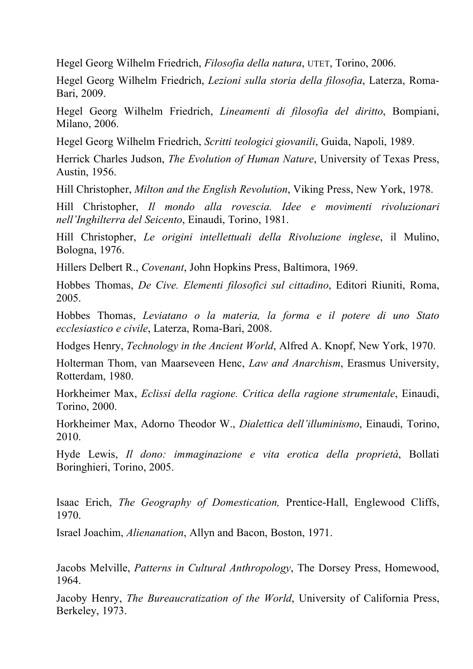Hegel Georg Wilhelm Friedrich, *Filosofia della natura*, UTET, Torino, 2006.

Hegel Georg Wilhelm Friedrich, *Lezioni sulla storia della filosofia*, Laterza, Roma-Bari, 2009.

Hegel Georg Wilhelm Friedrich, *Lineamenti di filosofia del diritto*, Bompiani, Milano, 2006.

Hegel Georg Wilhelm Friedrich, *Scritti teologici giovanili*, Guida, Napoli, 1989.

Herrick Charles Judson, *The Evolution of Human Nature*, University of Texas Press, Austin, 1956.

Hill Christopher, *Milton and the English Revolution*, Viking Press, New York, 1978.

Hill Christopher, *Il mondo alla rovescia. Idee e movimenti rivoluzionari nell'Inghilterra del Seicento*, Einaudi, Torino, 1981.

Hill Christopher, *Le origini intellettuali della Rivoluzione inglese*, il Mulino, Bologna, 1976.

Hillers Delbert R., *Covenant*, John Hopkins Press, Baltimora, 1969.

Hobbes Thomas, *De Cive. Elementi filosofici sul cittadino*, Editori Riuniti, Roma, 2005.

Hobbes Thomas, *Leviatano o la materia, la forma e il potere di uno Stato ecclesiastico e civile*, Laterza, Roma-Bari, 2008.

Hodges Henry, *Technology in the Ancient World*, Alfred A. Knopf, New York, 1970.

Holterman Thom, van Maarseveen Henc, *Law and Anarchism*, Erasmus University, Rotterdam, 1980.

Horkheimer Max, *Eclissi della ragione. Critica della ragione strumentale*, Einaudi, Torino, 2000.

Horkheimer Max, Adorno Theodor W., *Dialettica dell'illuminismo*, Einaudi, Torino, 2010.

Hyde Lewis, *Il dono: immaginazione e vita erotica della proprietà*, Bollati Boringhieri, Torino, 2005.

Isaac Erich, *The Geography of Domestication,* Prentice-Hall, Englewood Cliffs, 1970.

Israel Joachim, *Alienanation*, Allyn and Bacon, Boston, 1971.

Jacobs Melville, *Patterns in Cultural Anthropology*, The Dorsey Press, Homewood, 1964.

Jacoby Henry, *The Bureaucratization of the World*, University of California Press, Berkeley, 1973.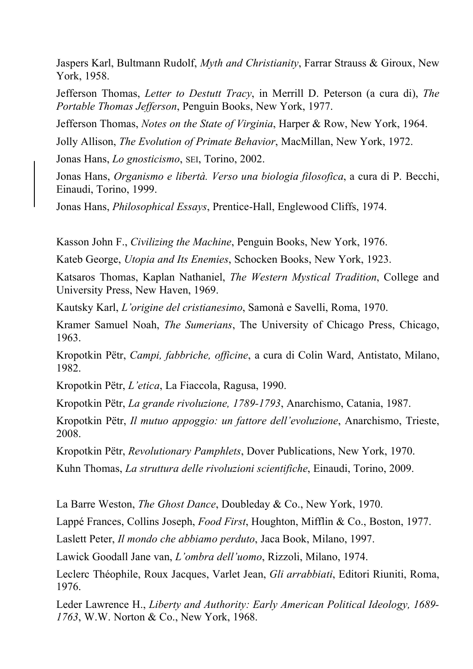Jaspers Karl, Bultmann Rudolf, *Myth and Christianity*, Farrar Strauss & Giroux, New York, 1958.

Jefferson Thomas, *Letter to Destutt Tracy*, in Merrill D. Peterson (a cura di), *The Portable Thomas Jefferson*, Penguin Books, New York, 1977.

Jefferson Thomas, *Notes on the State of Virginia*, Harper & Row, New York, 1964.

Jolly Allison, *The Evolution of Primate Behavior*, MacMillan, New York, 1972.

Jonas Hans, *Lo gnosticismo*, SEI, Torino, 2002.

Jonas Hans, *Organismo e libertà. Verso una biologia filosofica*, a cura di P. Becchi, Einaudi, Torino, 1999.

Jonas Hans, *Philosophical Essays*, Prentice-Hall, Englewood Cliffs, 1974.

Kasson John F., *Civilizing the Machine*, Penguin Books, New York, 1976.

Kateb George, *Utopia and Its Enemies*, Schocken Books, New York, 1923.

Katsaros Thomas, Kaplan Nathaniel, *The Western Mystical Tradition*, College and University Press, New Haven, 1969.

Kautsky Karl, *L'origine del cristianesimo*, Samonà e Savelli, Roma, 1970.

Kramer Samuel Noah, *The Sumerians*, The University of Chicago Press, Chicago, 1963.

Kropotkin Pëtr, *Campi, fabbriche, officine*, a cura di Colin Ward, Antistato, Milano, 1982.

Kropotkin Pëtr, *L'etica*, La Fiaccola, Ragusa, 1990.

Kropotkin Pëtr, *La grande rivoluzione, 1789-1793*, Anarchismo, Catania, 1987.

Kropotkin Pëtr, *Il mutuo appoggio: un fattore dell'evoluzione*, Anarchismo, Trieste, 2008.

Kropotkin Pëtr, *Revolutionary Pamphlets*, Dover Publications, New York, 1970.

Kuhn Thomas, *La struttura delle rivoluzioni scientifiche*, Einaudi, Torino, 2009.

La Barre Weston, *The Ghost Dance*, Doubleday & Co., New York, 1970.

Lappé Frances, Collins Joseph, *Food First*, Houghton, Mifflin & Co., Boston, 1977.

Laslett Peter, *Il mondo che abbiamo perduto*, Jaca Book, Milano, 1997.

Lawick Goodall Jane van, *L'ombra dell'uomo*, Rizzoli, Milano, 1974.

Leclerc Théophile, Roux Jacques, Varlet Jean, *Gli arrabbiati*, Editori Riuniti, Roma, 1976.

Leder Lawrence H., *Liberty and Authority: Early American Political Ideology, 1689- 1763*, W.W. Norton & Co., New York, 1968.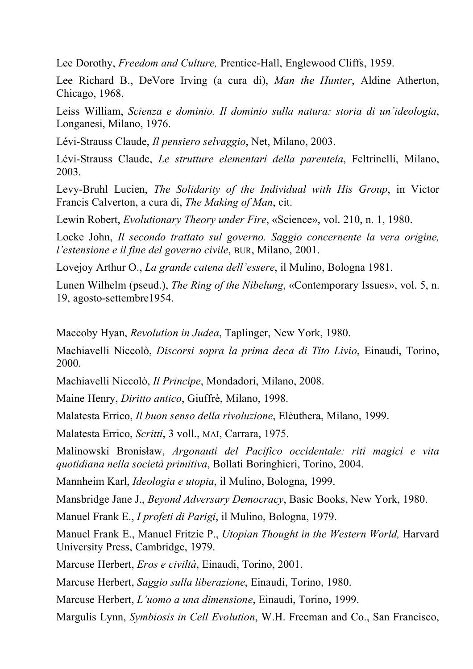Lee Dorothy, *Freedom and Culture,* Prentice-Hall, Englewood Cliffs, 1959.

Lee Richard B., DeVore Irving (a cura di), *Man the Hunter*, Aldine Atherton, Chicago, 1968.

Leiss William, *Scienza e dominio. Il dominio sulla natura: storia di un'ideologia*, Longanesi, Milano, 1976.

Lévi-Strauss Claude, *Il pensiero selvaggio*, Net, Milano, 2003.

Lévi-Strauss Claude, *Le strutture elementari della parentela*, Feltrinelli, Milano, 2003.

Levy-Bruhl Lucien, *The Solidarity of the Individual with His Group*, in Victor Francis Calverton, a cura di, *The Making of Man*, cit.

Lewin Robert, *Evolutionary Theory under Fire*, «Science», vol. 210, n. 1, 1980.

Locke John, *Il secondo trattato sul governo. Saggio concernente la vera origine, l'estensione e il fine del governo civile*, BUR, Milano, 2001.

Lovejoy Arthur O., *La grande catena dell'essere*, il Mulino, Bologna 1981.

Lunen Wilhelm (pseud.), *The Ring of the Nibelung*, «Contemporary Issues», vol. 5, n. 19, agosto-settembre1954.

Maccoby Hyan, *Revolution in Judea*, Taplinger, New York, 1980.

Machiavelli Niccolò, *Discorsi sopra la prima deca di Tito Livio*, Einaudi, Torino, 2000.

Machiavelli Niccolò, *Il Principe*, Mondadori, Milano, 2008.

Maine Henry, *Diritto antico*, Giuffrè, Milano, 1998.

Malatesta Errico, *Il buon senso della rivoluzione*, Elèuthera, Milano, 1999.

Malatesta Errico, *Scritti*, 3 voll., MAI, Carrara, 1975.

Malinowski Bronisław, *Argonauti del Pacifico occidentale: riti magici e vita quotidiana nella società primitiva*, Bollati Boringhieri, Torino, 2004.

Mannheim Karl, *Ideologia e utopia*, il Mulino, Bologna, 1999.

Mansbridge Jane J., *Beyond Adversary Democracy*, Basic Books, New York, 1980.

Manuel Frank E., *I profeti di Parigi*, il Mulino, Bologna, 1979.

Manuel Frank E., Manuel Fritzie P., *Utopian Thought in the Western World,* Harvard University Press, Cambridge, 1979.

Marcuse Herbert, *Eros e civiltà*, Einaudi, Torino, 2001.

Marcuse Herbert, *Saggio sulla liberazione*, Einaudi, Torino, 1980.

Marcuse Herbert, *L'uomo a una dimensione*, Einaudi, Torino, 1999.

Margulis Lynn, *Symbiosis in Cell Evolution*, W.H. Freeman and Co., San Francisco,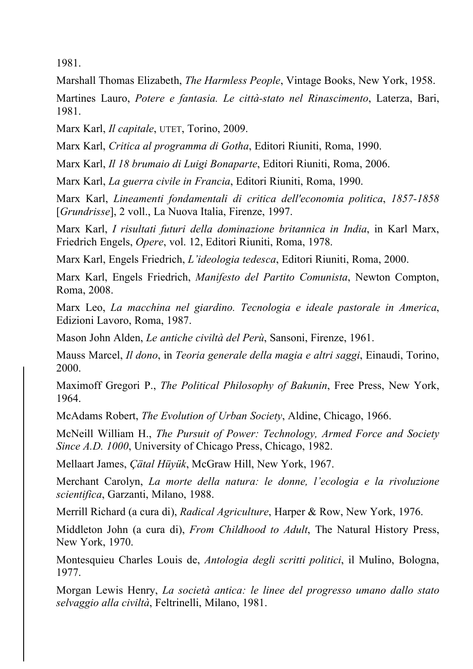1981.

Marshall Thomas Elizabeth, *The Harmless People*, Vintage Books, New York, 1958.

Martines Lauro, *Potere e fantasia. Le città-stato nel Rinascimento*, Laterza, Bari, 1981.

Marx Karl, *Il capitale*, UTET, Torino, 2009.

Marx Karl, *Critica al programma di Gotha*, Editori Riuniti, Roma, 1990.

Marx Karl, *Il 18 brumaio di Luigi Bonaparte*, Editori Riuniti, Roma, 2006.

Marx Karl, *La guerra civile in Francia*, Editori Riuniti, Roma, 1990.

Marx Karl, *Lineamenti fondamentali di critica dell'economia politica*, *1857-1858* [*Grundrisse*], 2 voll., La Nuova Italia, Firenze, 1997.

Marx Karl, *I risultati futuri della dominazione britannica in India*, in Karl Marx, Friedrich Engels, *Opere*, vol. 12, Editori Riuniti, Roma, 1978.

Marx Karl, Engels Friedrich, *L'ideologia tedesca*, Editori Riuniti, Roma, 2000.

Marx Karl, Engels Friedrich, *Manifesto del Partito Comunista*, Newton Compton, Roma, 2008.

Marx Leo, *La macchina nel giardino. Tecnologia e ideale pastorale in America*, Edizioni Lavoro, Roma, 1987.

Mason John Alden, *Le antiche civiltà del Perù*, Sansoni, Firenze, 1961.

Mauss Marcel, *Il dono*, in *Teoria generale della magia e altri saggi*, Einaudi, Torino, 2000.

Maximoff Gregori P., *The Political Philosophy of Bakunin*, Free Press, New York, 1964.

McAdams Robert, *The Evolution of Urban Society*, Aldine, Chicago, 1966.

McNeill William H., *The Pursuit of Power: Technology, Armed Force and Society Since A.D. 1000*, University of Chicago Press, Chicago, 1982.

Mellaart James, *Çätal Hüyük*, McGraw Hill, New York, 1967.

Merchant Carolyn, *La morte della natura: le donne, l'ecologia e la rivoluzione scientifica*, Garzanti, Milano, 1988.

Merrill Richard (a cura di), *Radical Agriculture*, Harper & Row, New York, 1976.

Middleton John (a cura di), *From Childhood to Adult*, The Natural History Press, New York, 1970.

Montesquieu Charles Louis de, *Antologia degli scritti politici*, il Mulino, Bologna, 1977.

Morgan Lewis Henry, *La società antica: le linee del progresso umano dallo stato selvaggio alla civiltà*, Feltrinelli, Milano, 1981.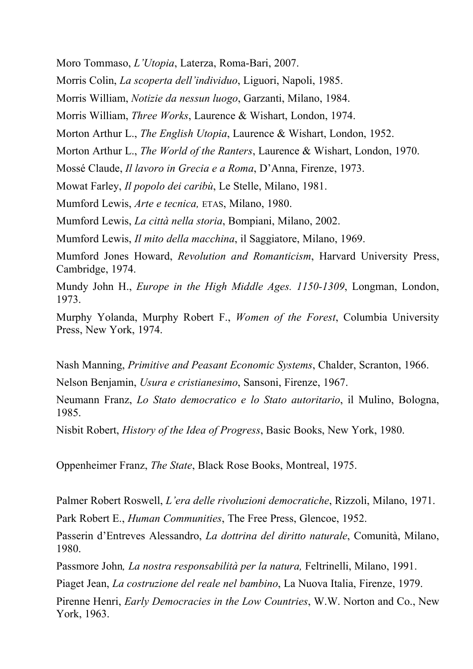Moro Tommaso, *L'Utopia*, Laterza, Roma-Bari, 2007.

Morris Colin, *La scoperta dell'individuo*, Liguori, Napoli, 1985.

Morris William, *Notizie da nessun luogo*, Garzanti, Milano, 1984.

Morris William, *Three Works*, Laurence & Wishart, London, 1974.

Morton Arthur L., *The English Utopia*, Laurence & Wishart, London, 1952.

Morton Arthur L., *The World of the Ranters*, Laurence & Wishart, London, 1970.

Mossé Claude, *Il lavoro in Grecia e a Roma*, D'Anna, Firenze, 1973.

Mowat Farley, *Il popolo dei caribù*, Le Stelle, Milano, 1981.

Mumford Lewis, *Arte e tecnica,* ETAS, Milano, 1980.

Mumford Lewis, *La città nella storia*, Bompiani, Milano, 2002.

Mumford Lewis, *Il mito della macchina*, il Saggiatore, Milano, 1969.

Mumford Jones Howard, *Revolution and Romanticism*, Harvard University Press, Cambridge, 1974.

Mundy John H., *Europe in the High Middle Ages. 1150-1309*, Longman, London, 1973.

Murphy Yolanda, Murphy Robert F., *Women of the Forest*, Columbia University Press, New York, 1974.

Nash Manning, *Primitive and Peasant Economic Systems*, Chalder, Scranton, 1966. Nelson Benjamin, *Usura e cristianesimo*, Sansoni, Firenze, 1967.

Neumann Franz, *Lo Stato democratico e lo Stato autoritario*, il Mulino, Bologna, 1985.

Nisbit Robert, *History of the Idea of Progress*, Basic Books, New York, 1980.

Oppenheimer Franz, *The State*, Black Rose Books, Montreal, 1975.

Palmer Robert Roswell, *L'era delle rivoluzioni democratiche*, Rizzoli, Milano, 1971.

Park Robert E., *Human Communities*, The Free Press, Glencoe, 1952.

Passerin d'Entreves Alessandro, *La dottrina del diritto naturale*, Comunità, Milano, 1980.

Passmore John*, La nostra responsabilità per la natura,* Feltrinelli, Milano, 1991.

Piaget Jean, *La costruzione del reale nel bambino*, La Nuova Italia, Firenze, 1979.

Pirenne Henri, *Early Democracies in the Low Countries*, W.W. Norton and Co., New York, 1963.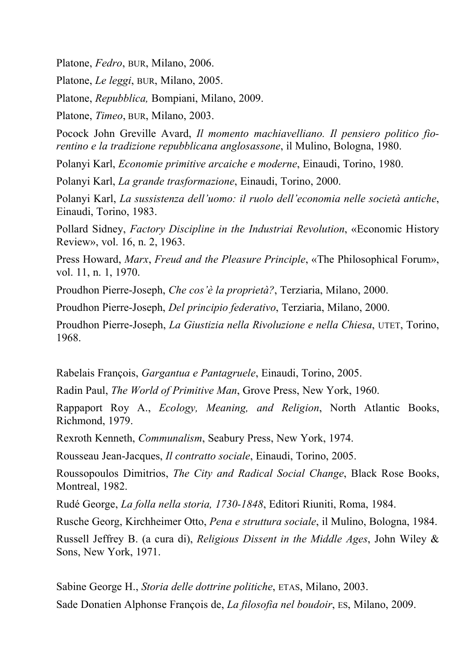Platone, *Fedro*, BUR, Milano, 2006.

Platone, *Le leggi*, BUR, Milano, 2005.

Platone, *Repubblica,* Bompiani, Milano, 2009.

Platone, *Timeo*, BUR, Milano, 2003.

Pocock John Greville Avard, *Il momento machiavelliano. Il pensiero politico fiorentino e la tradizione repubblicana anglosassone*, il Mulino, Bologna, 1980.

Polanyi Karl, *Economie primitive arcaiche e moderne*, Einaudi, Torino, 1980.

Polanyi Karl, *La grande trasformazione*, Einaudi, Torino, 2000.

Polanyi Karl, *La sussistenza dell'uomo: il ruolo dell'economia nelle società antiche*, Einaudi, Torino, 1983.

Pollard Sidney, *Factory Discipline in the Industriai Revolution*, «Economic History Review», vol. 16, n. 2, 1963.

Press Howard, *Marx*, *Freud and the Pleasure Principle*, «The Philosophical Forum», vol. 11, n. 1, 1970.

Proudhon Pierre-Joseph, *Che cos'è la proprietà?*, Terziaria, Milano, 2000.

Proudhon Pierre-Joseph, *Del principio federativo*, Terziaria, Milano, 2000.

Proudhon Pierre-Joseph, *La Giustizia nella Rivoluzione e nella Chiesa*, UTET, Torino, 1968.

Rabelais François, *Gargantua e Pantagruele*, Einaudi, Torino, 2005.

Radin Paul, *The World of Primitive Man*, Grove Press, New York, 1960.

Rappaport Roy A., *Ecology, Meaning, and Religion*, North Atlantic Books, Richmond, 1979.

Rexroth Kenneth, *Communalism*, Seabury Press, New York, 1974.

Rousseau Jean-Jacques, *Il contratto sociale*, Einaudi, Torino, 2005.

Roussopoulos Dimitrios, *The City and Radical Social Change*, Black Rose Books, Montreal, 1982.

Rudé George, *La folla nella storia, 1730-1848*, Editori Riuniti, Roma, 1984.

Rusche Georg, Kirchheimer Otto, *Pena e struttura sociale*, il Mulino, Bologna, 1984.

Russell Jeffrey B. (a cura di), *Religious Dissent in the Middle Ages*, John Wiley & Sons, New York, 1971.

Sabine George H., *Storia delle dottrine politiche*, ETAS, Milano, 2003. Sade Donatien Alphonse François de, *La filosofia nel boudoir*, ES, Milano, 2009.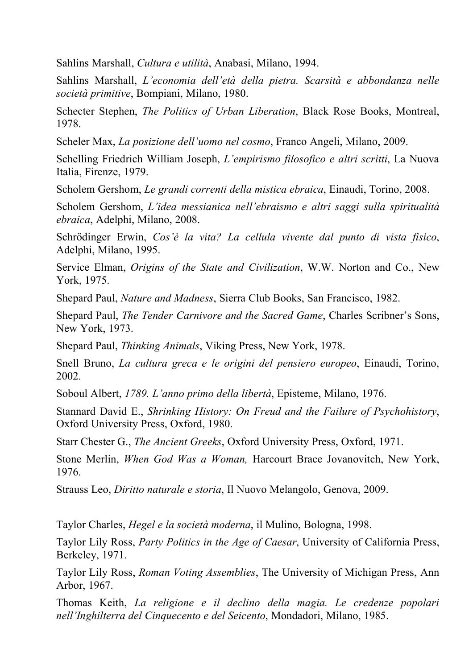Sahlins Marshall, *Cultura e utilità*, Anabasi, Milano, 1994.

Sahlins Marshall, *L'economia dell'età della pietra. Scarsità e abbondanza nelle società primitive*, Bompiani, Milano, 1980.

Schecter Stephen, *The Politics of Urban Liberation*, Black Rose Books, Montreal, 1978.

Scheler Max, *La posizione dell'uomo nel cosmo*, Franco Angeli, Milano, 2009.

Schelling Friedrich William Joseph, *L'empirismo filosofico e altri scritti*, La Nuova Italia, Firenze, 1979.

Scholem Gershom, *Le grandi correnti della mistica ebraica*, Einaudi, Torino, 2008.

Scholem Gershom, *L'idea messianica nell'ebraismo e altri saggi sulla spiritualità ebraica*, Adelphi, Milano, 2008.

Schrödinger Erwin, *Cos'è la vita? La cellula vivente dal punto di vista fisico*, Adelphi, Milano, 1995.

Service Elman, *Origins of the State and Civilization*, W.W. Norton and Co., New York, 1975.

Shepard Paul, *Nature and Madness*, Sierra Club Books, San Francisco, 1982.

Shepard Paul, *The Tender Carnivore and the Sacred Game*, Charles Scribner's Sons, New York, 1973.

Shepard Paul, *Thinking Animals*, Viking Press, New York, 1978.

Snell Bruno, *La cultura greca e le origini del pensiero europeo*, Einaudi, Torino, 2002.

Soboul Albert, *1789. L'anno primo della libertà*, Episteme, Milano, 1976.

Stannard David E., *Shrinking History: On Freud and the Failure of Psychohistory*, Oxford University Press, Oxford, 1980.

Starr Chester G., *The Ancient Greeks*, Oxford University Press, Oxford, 1971.

Stone Merlin, *When God Was a Woman,* Harcourt Brace Jovanovitch, New York, 1976.

Strauss Leo, *Diritto naturale e storia*, Il Nuovo Melangolo, Genova, 2009.

Taylor Charles, *Hegel e la società moderna*, il Mulino, Bologna, 1998.

Taylor Lily Ross, *Party Politics in the Age of Caesar*, University of California Press, Berkeley, 1971.

Taylor Lily Ross, *Roman Voting Assemblies*, The University of Michigan Press, Ann Arbor, 1967.

Thomas Keith, *La religione e il declino della magia. Le credenze popolari nell'Inghilterra del Cinquecento e del Seicento*, Mondadori, Milano, 1985.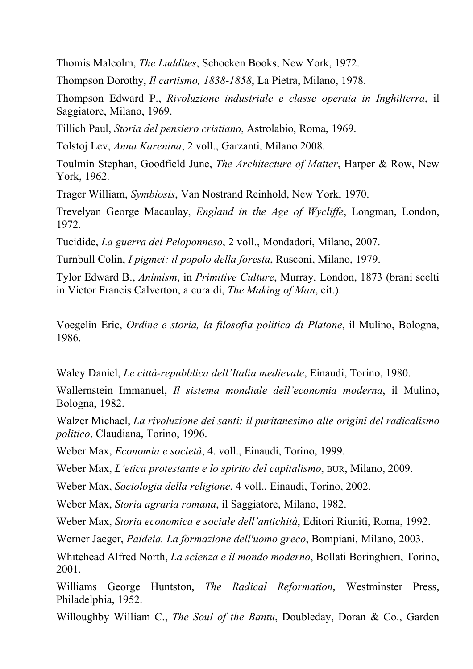Thomis Malcolm, *The Luddites*, Schocken Books, New York, 1972.

Thompson Dorothy, *Il cartismo, 1838-1858*, La Pietra, Milano, 1978.

Thompson Edward P., *Rivoluzione industriale e classe operaia in Inghilterra*, il Saggiatore, Milano, 1969.

Tillich Paul, *Storia del pensiero cristiano*, Astrolabio, Roma, 1969.

Tolstoj Lev, *Anna Karenina*, 2 voll., Garzanti, Milano 2008.

Toulmin Stephan, Goodfield June, *The Architecture of Matter*, Harper & Row, New York, 1962.

Trager William, *Symbiosis*, Van Nostrand Reinhold, New York, 1970.

Trevelyan George Macaulay, *England in the Age of Wycliffe*, Longman, London, 1972.

Tucidide, *La guerra del Peloponneso*, 2 voll., Mondadori, Milano, 2007.

Turnbull Colin, *I pigmei: il popolo della foresta*, Rusconi, Milano, 1979.

Tylor Edward B., *Animism*, in *Primitive Culture*, Murray, London, 1873 (brani scelti in Victor Francis Calverton, a cura di, *The Making of Man*, cit.).

Voegelin Eric, *Ordine e storia, la filosofia politica di Platone*, il Mulino, Bologna, 1986.

Waley Daniel, *Le città-repubblica dell'Italia medievale*, Einaudi, Torino, 1980.

Wallernstein Immanuel, *Il sistema mondiale dell'economia moderna*, il Mulino, Bologna, 1982.

Walzer Michael, *La rivoluzione dei santi: il puritanesimo alle origini del radicalismo politico*, Claudiana, Torino, 1996.

Weber Max, *Economia e società*, 4. voll., Einaudi, Torino, 1999.

Weber Max, *L'etica protestante e lo spirito del capitalismo*, BUR, Milano, 2009.

Weber Max, *Sociologia della religione*, 4 voll., Einaudi, Torino, 2002.

Weber Max, *Storia agraria romana*, il Saggiatore, Milano, 1982.

Weber Max, *Storia economica e sociale dell'antichità*, Editori Riuniti, Roma, 1992.

Werner Jaeger, *Paideia. La formazione dell'uomo greco*, Bompiani, Milano, 2003.

Whitehead Alfred North, *La scienza e il mondo moderno*, Bollati Boringhieri, Torino, 2001.

Williams George Huntston, *The Radical Reformation*, Westminster Press, Philadelphia, 1952.

Willoughby William C., *The Soul of the Bantu*, Doubleday, Doran & Co., Garden